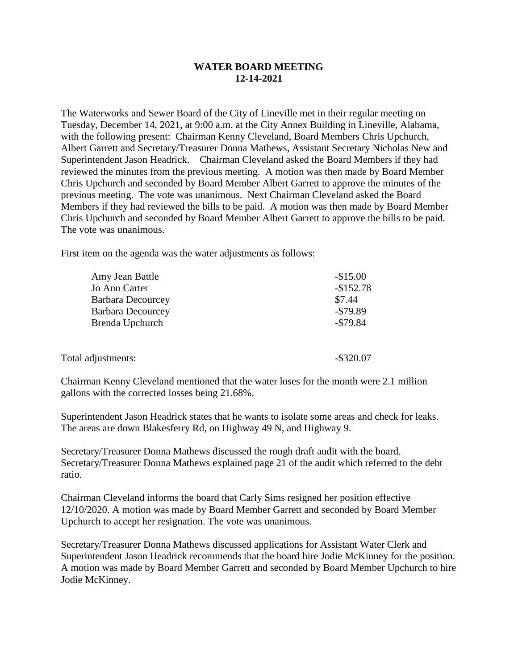## **WATER BOARD MEETING 12-14-2021**

The Waterworks and Sewer Board of the City of Lineville met in their regular meeting on Tuesday, December 14, 2021, at 9:00 a.m. at the City Annex Building in Lineville, Alabama, with the following present: Chairman Kenny Cleveland, Board Members Chris Upchurch, Albert Garrett and Secretary/Treasurer Donna Mathews, Assistant Secretary Nicholas New and Superintendent Jason Headrick. Chairman Cleveland asked the Board Members if they had reviewed the minutes from the previous meeting. A motion was then made by Board Member Chris Upchurch and seconded by Board Member Albert Garrett to approve the minutes of the previous meeting. The vote was unanimous. Next Chairman Cleveland asked the Board Members if they had reviewed the bills to be paid. A motion was then made by Board Member Chris Upchurch and seconded by Board Member Albert Garrett to approve the bills to be paid. The vote was unanimous.

First item on the agenda was the water adjustments as follows:

| Amy Jean Battle          | $-$15.00$    |
|--------------------------|--------------|
| Jo Ann Carter            | $-$152.78$   |
| <b>Barbara Decourcey</b> | \$7.44       |
| <b>Barbara Decourcey</b> | $-$ \$79.89  |
| Brenda Upchurch          | $-$ \$79.84  |
|                          |              |
|                          |              |
| Total adjustments:       | $-$ \$320.07 |

Chairman Kenny Cleveland mentioned that the water loses for the month were 2.1 million gallons with the corrected losses being 21.68%.

Superintendent Jason Headrick states that he wants to isolate some areas and check for leaks. The areas are down Blakesferry Rd, on Highway 49 N, and Highway 9.

Secretary/Treasurer Donna Mathews discussed the rough draft audit with the board. Secretary/Treasurer Donna Mathews explained page 21 of the audit which referred to the debt ratio.

Chairman Cleveland informs the board that Carly Sims resigned her position effective 12/10/2020. A motion was made by Board Member Garrett and seconded by Board Member Upchurch to accept her resignation. The vote was unanimous.

Secretary/Treasurer Donna Mathews discussed applications for Assistant Water Clerk and Superintendent Jason Headrick recommends that the board hire Jodie McKinney for the position. A motion was made by Board Member Garrett and seconded by Board Member Upchurch to hire Jodie McKinney.